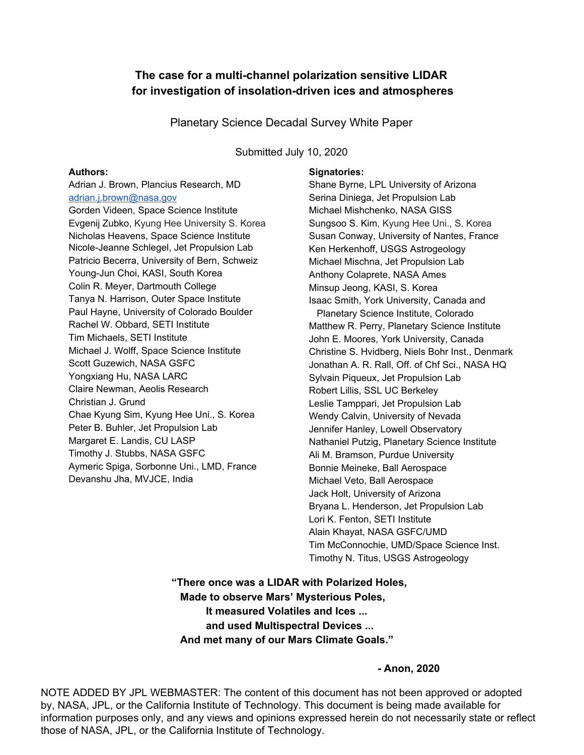### **The case for a multi-channel polarization sensitive LIDAR for investigation of insolation-driven ices and atmospheres**

Planetary Science Decadal Survey White Paper

Submitted July 10, 2020

#### **Authors:**

Adrian J. Brown, Plancius Research, MD [adrian.j.brown@nasa.gov](mailto:adrian.j.brown@nasa.gov) Gorden Videen, Space Science Institute Evgenij Zubko, Kyung Hee University S. Korea Nicholas Heavens, Space Science Institute Nicole-Jeanne Schlegel, Jet Propulsion Lab Patricio Becerra, University of Bern, Schweiz Young-Jun Choi, KASI, South Korea Colin R. Meyer, Dartmouth College Tanya N. Harrison, Outer Space Institute Paul Hayne, University of Colorado Boulder Rachel W. Obbard, SETI Institute Tim Michaels, SETI Institute Michael J. Wolff, Space Science Institute Scott Guzewich, NASA GSFC Yongxiang Hu, NASA LARC Claire Newman, Aeolis Research Christian J. Grund Chae Kyung Sim, Kyung Hee Uni., S. Korea Peter B. Buhler, Jet Propulsion Lab Margaret E. Landis, CU LASP Timothy J. Stubbs, NASA GSFC Aymeric Spiga, Sorbonne Uni., LMD, France Devanshu Jha, MVJCE, India

#### **Signatories:**

Shane Byrne, LPL University of Arizona Serina Diniega, Jet Propulsion Lab Michael Mishchenko, NASA GISS Sungsoo S. Kim, Kyung Hee Uni., S. Korea Susan Conway, University of Nantes, France Ken Herkenhoff, USGS Astrogeology Michael Mischna, Jet Propulsion Lab Anthony Colaprete, NASA Ames Minsup Jeong, KASI, S. Korea Isaac Smith, York University, Canada and Planetary Science Institute, Colorado Matthew R. Perry, Planetary Science Institute John E. Moores, York University, Canada Christine S. Hvidberg, Niels Bohr Inst., Denmark Jonathan A. R. Rall, Off. of Chf Sci., NASA HQ Sylvain Piqueux, Jet Propulsion Lab Robert Lillis, SSL UC Berkeley Leslie Tamppari, Jet Propulsion Lab Wendy Calvin, University of Nevada Jennifer Hanley, Lowell Observatory Nathaniel Putzig, Planetary Science Institute Ali M. Bramson, Purdue University Bonnie Meineke, Ball Aerospace Michael Veto, Ball Aerospace Jack Holt, University of Arizona Bryana L. Henderson, Jet Propulsion Lab Lori K. Fenton, SETI Institute Alain Khayat, NASA GSFC/UMD Tim McConnochie, UMD/Space Science Inst. Timothy N. Titus, USGS Astrogeology

**"There once was a LIDAR with Polarized Holes, Made to observe Mars' Mysterious Poles, It measured Volatiles and Ices ... and used Multispectral Devices ... And met many of our Mars Climate Goals."**

**- Anon, 2020**

NOTE ADDED BY JPL WEBMASTER: The content of this document has not been approved or adopted by, NASA, JPL, or the California Institute of Technology. This document is being made available for information purposes only, and any views and opinions expressed herein do not necessarily state or reflect those of NASA, JPL, or the California Institute of Technology.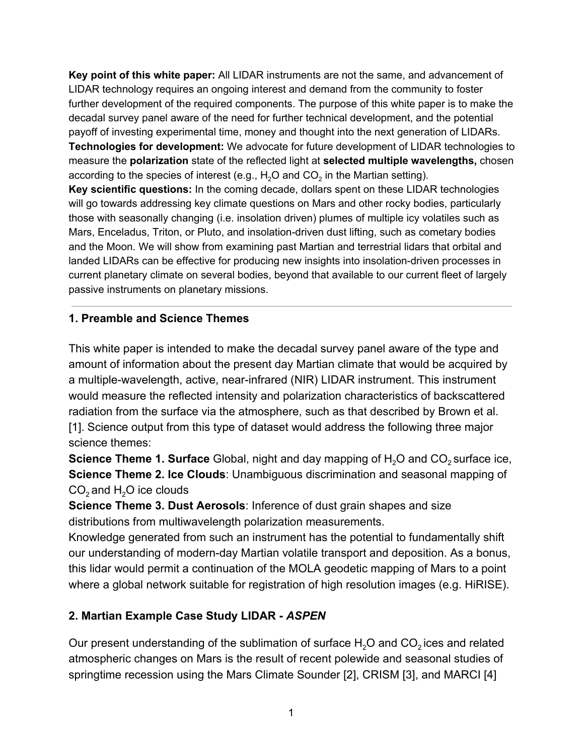**Key point of this white paper:** All LIDAR instruments are not the same, and advancement of LIDAR technology requires an ongoing interest and demand from the community to foster further development of the required components. The purpose of this white paper is to make the decadal survey panel aware of the need for further technical development, and the potential payoff of investing experimental time, money and thought into the next generation of LIDARs. **Technologies for development:** We advocate for future development of LIDAR technologies to measure the **polarization** state of the reflected light at **selected multiple wavelengths,** chosen according to the species of interest (e.g.,  $\text{H}_{\text{2}}\text{O}$  and CO $_{\text{2}}$  in the Martian setting).

**Key scientific questions:** In the coming decade, dollars spent on these LIDAR technologies will go towards addressing key climate questions on Mars and other rocky bodies, particularly those with seasonally changing (i.e. insolation driven) plumes of multiple icy volatiles such as Mars, Enceladus, Triton, or Pluto, and insolation-driven dust lifting, such as cometary bodies and the Moon. We will show from examining past Martian and terrestrial lidars that orbital and landed LIDARs can be effective for producing new insights into insolation-driven processes in current planetary climate on several bodies, beyond that available to our current fleet of largely passive instruments on planetary missions.

## **1. Preamble and Science Themes**

This white paper is intended to make the decadal survey panel aware of the type and amount of information about the present day Martian climate that would be acquired by a multiple-wavelength, active, near-infrared (NIR) LIDAR instrument. This instrument would measure the reflected intensity and polarization characteristics of backscattered radiation from the surface via the atmosphere, such as that described by Brown et al. [1]. Science output from this type of dataset would address the following three major science themes:

**Science Theme 1. Surface** Global, night and day mapping of H<sub>2</sub>O and CO<sub>2</sub> surface ice, **Science Theme 2. Ice Clouds**: Unambiguous discrimination and seasonal mapping of  $CO<sub>2</sub>$  and H<sub>2</sub>O ice clouds

**Science Theme 3. Dust Aerosols**: Inference of dust grain shapes and size distributions from multiwavelength polarization measurements.

Knowledge generated from such an instrument has the potential to fundamentally shift our understanding of modern-day Martian volatile transport and deposition. As a bonus, this lidar would permit a continuation of the MOLA geodetic mapping of Mars to a point where a global network suitable for registration of high resolution images (e.g. HiRISE).

# **2. Martian Example Case Study LIDAR -** *ASPEN*

Our present understanding of the sublimation of surface  $H_2O$  and  $CO_2$  ices and related atmospheric changes on Mars is the result of recent polewide and seasonal studies of springtime recession using the Mars Climate Sounder [2], CRISM [3], and MARCI [4]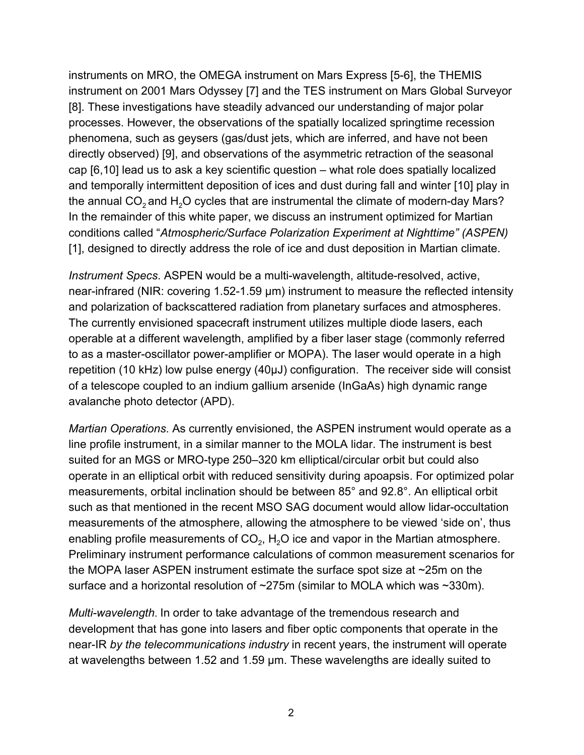instruments on MRO, the OMEGA instrument on Mars Express [5-6], the THEMIS instrument on 2001 Mars Odyssey [7] and the TES instrument on Mars Global Surveyor [8]. These investigations have steadily advanced our understanding of major polar processes. However, the observations of the spatially localized springtime recession phenomena, such as geysers (gas/dust jets, which are inferred, and have not been directly observed) [9], and observations of the asymmetric retraction of the seasonal cap [6,10] lead us to ask a key scientific question – what role does spatially localized and temporally intermittent deposition of ices and dust during fall and winter [10] play in the annual  $CO<sub>2</sub>$  and H<sub>2</sub>O cycles that are instrumental the climate of modern-day Mars? In the remainder of this white paper, we discuss an instrument optimized for Martian conditions called "*Atmospheric/Surface Polarization Experiment at Nighttime" (ASPEN)* [1], designed to directly address the role of ice and dust deposition in Martian climate.

*Instrument Specs*. ASPEN would be a multi-wavelength, altitude-resolved, active, near-infrared (NIR: covering 1.52-1.59 μm) instrument to measure the reflected intensity and polarization of backscattered radiation from planetary surfaces and atmospheres. The currently envisioned spacecraft instrument utilizes multiple diode lasers, each operable at a different wavelength, amplified by a fiber laser stage (commonly referred to as a master-oscillator power-amplifier or MOPA). The laser would operate in a high repetition (10 kHz) low pulse energy (40μJ) configuration. The receiver side will consist of a telescope coupled to an indium gallium arsenide (InGaAs) high dynamic range avalanche photo detector (APD).

*Martian Operations*. As currently envisioned, the ASPEN instrument would operate as a line profile instrument, in a similar manner to the MOLA lidar. The instrument is best suited for an MGS or MRO-type 250–320 km elliptical/circular orbit but could also operate in an elliptical orbit with reduced sensitivity during apoapsis. For optimized polar measurements, orbital inclination should be between 85° and 92.8°. An elliptical orbit such as that mentioned in the recent MSO SAG document would allow lidar-occultation measurements of the atmosphere, allowing the atmosphere to be viewed 'side on', thus enabling profile measurements of CO<sub>2</sub>, H<sub>2</sub>O ice and vapor in the Martian atmosphere. Preliminary instrument performance calculations of common measurement scenarios for the MOPA laser ASPEN instrument estimate the surface spot size at ~25m on the surface and a horizontal resolution of ~275m (similar to MOLA which was ~330m).

*Multi-wavelength*. In order to take advantage of the tremendous research and development that has gone into lasers and fiber optic components that operate in the near-IR *by the telecommunications industry* in recent years, the instrument will operate at wavelengths between 1.52 and 1.59 μm. These wavelengths are ideally suited to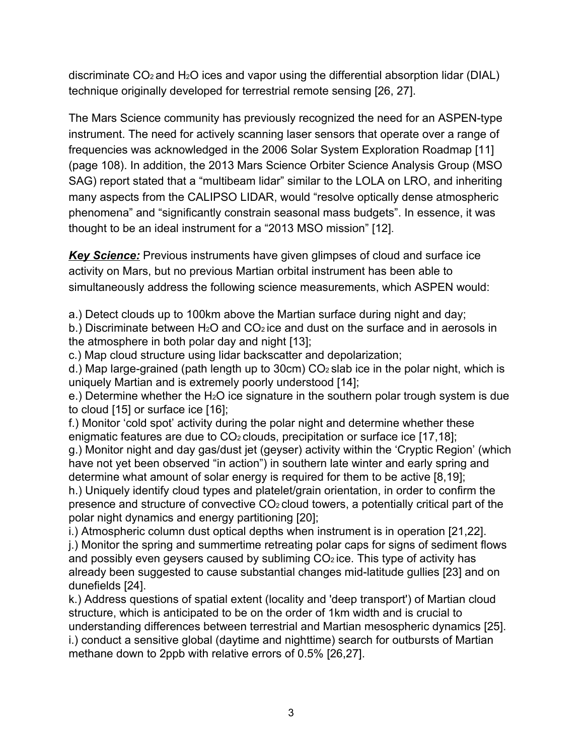discriminate  $CO<sub>2</sub>$  and H<sub>2</sub>O ices and vapor using the differential absorption lidar (DIAL) technique originally developed for terrestrial remote sensing [26, 27].

The Mars Science community has previously recognized the need for an ASPEN-type instrument. The need for actively scanning laser sensors that operate over a range of frequencies was acknowledged in the 2006 Solar System Exploration Roadmap [11] (page 108). In addition, the 2013 Mars Science Orbiter Science Analysis Group (MSO SAG) report stated that a "multibeam lidar" similar to the LOLA on LRO, and inheriting many aspects from the CALIPSO LIDAR, would "resolve optically dense atmospheric phenomena" and "significantly constrain seasonal mass budgets". In essence, it was thought to be an ideal instrument for a "2013 MSO mission" [12].

*Key Science:* Previous instruments have given glimpses of cloud and surface ice activity on Mars, but no previous Martian orbital instrument has been able to simultaneously address the following science measurements, which ASPEN would:

a.) Detect clouds up to 100km above the Martian surface during night and day;

b.) Discriminate between  $H_2O$  and  $CO_2$  ice and dust on the surface and in aerosols in the atmosphere in both polar day and night [13];

c.) Map cloud structure using lidar backscatter and depolarization;

d.) Map large-grained (path length up to 30cm)  $CO<sub>2</sub>$  slab ice in the polar night, which is uniquely Martian and is extremely poorly understood [14];

e.) Determine whether the H<sub>2</sub>O ice signature in the southern polar trough system is due to cloud [15] or surface ice [16];

f.) Monitor 'cold spot' activity during the polar night and determine whether these enigmatic features are due to  $CO<sub>2</sub>$  clouds, precipitation or surface ice [17,18];

g.) Monitor night and day gas/dust jet (geyser) activity within the 'Cryptic Region' (which have not yet been observed "in action") in southern late winter and early spring and determine what amount of solar energy is required for them to be active [8,19];

h.) Uniquely identify cloud types and platelet/grain orientation, in order to confirm the presence and structure of convective  $CO<sub>2</sub>$  cloud towers, a potentially critical part of the polar night dynamics and energy partitioning [20];

i.) Atmospheric column dust optical depths when instrument is in operation [21,22]. j.) Monitor the spring and summertime retreating polar caps for signs of sediment flows and possibly even geysers caused by subliming  $CO<sub>2</sub>$  ice. This type of activity has already been suggested to cause substantial changes mid-latitude gullies [23] and on dunefields [24].

k.) Address questions of spatial extent (locality and 'deep transport') of Martian cloud structure, which is anticipated to be on the order of 1km width and is crucial to understanding differences between terrestrial and Martian mesospheric dynamics [25]. i.) conduct a sensitive global (daytime and nighttime) search for outbursts of Martian methane down to 2ppb with relative errors of 0.5% [26,27].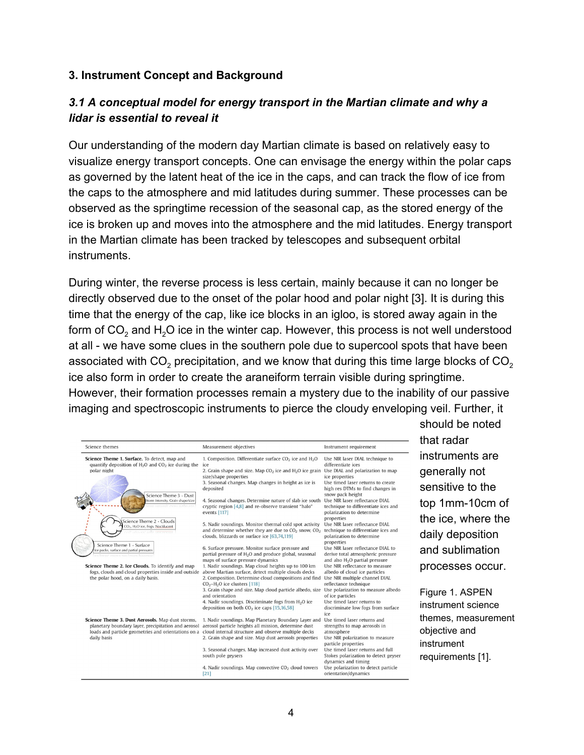#### **3. Instrument Concept and Background**

## *3.1 A conceptual model for energy transport in the Martian climate and why a lidar is essential to reveal it*

Our understanding of the modern day Martian climate is based on relatively easy to visualize energy transport concepts. One can envisage the energy within the polar caps as governed by the latent heat of the ice in the caps, and can track the flow of ice from the caps to the atmosphere and mid latitudes during summer. These processes can be observed as the springtime recession of the seasonal cap, as the stored energy of the ice is broken up and moves into the atmosphere and the mid latitudes. Energy transport in the Martian climate has been tracked by telescopes and subsequent orbital instruments.

During winter, the reverse process is less certain, mainly because it can no longer be directly observed due to the onset of the polar hood and polar night [3]. It is during this time that the energy of the cap, like ice blocks in an igloo, is stored away again in the form of CO<sub>2</sub> and H<sub>2</sub>O ice in the winter cap. However, this process is not well understood at all - we have some clues in the southern pole due to supercool spots that have been associated with CO $_2$  precipitation, and we know that during this time large blocks of CO $_2$ ice also form in order to create the araneiform terrain visible during springtime. However, their formation processes remain a mystery due to the inability of our passive imaging and spectroscopic instruments to pierce the cloudy enveloping veil. Further, it

| Science themes                                                                                                                                                                | Measurement objectives                                                                                                                                                                                                                                                                                                                                                                     | Instrument requirement                                                                                                                                                                                                                                         |
|-------------------------------------------------------------------------------------------------------------------------------------------------------------------------------|--------------------------------------------------------------------------------------------------------------------------------------------------------------------------------------------------------------------------------------------------------------------------------------------------------------------------------------------------------------------------------------------|----------------------------------------------------------------------------------------------------------------------------------------------------------------------------------------------------------------------------------------------------------------|
| Science Theme 1. Surface. To detect, map and<br>quantify deposition of $H_2O$ and $CO_2$ ice during the<br>polar night<br>Science Theme 3 - Dust                              | 1. Composition. Differentiate surface $CO2$ ice and $H2O$<br>ice<br>2. Grain shape and size. Map $CO2$ ice and $H2O$ ice grain<br>size/shape properties<br>3. Seasonal changes. Map changes in height as ice is<br>deposited                                                                                                                                                               | Use NIR laser DIAL technique to<br>differentiate ices<br>Use DIAL and polarization to map<br>ice properties<br>Use timed laser returns to create<br>high res DTMs to find changes in<br>snow pack height                                                       |
| Storm intensity, Grain shape/size<br>azrezadorre nuovo: Guerra                                                                                                                | 4. Seasonal changes. Determine nature of slab ice south<br>cryptic region [4,8] and re-observe transient "halo"<br>events [117]                                                                                                                                                                                                                                                            | Use NIR laser reflectance DIAL<br>technique to differentiate ices and<br>polarization to determine<br>properties                                                                                                                                               |
| Science Theme 2 - Clouds<br>CO <sub>2</sub> , H <sub>2</sub> O ice, Fogs, Noctilucent<br>do ret unfat izamazzar                                                               | 5. Nadir soundings. Monitor thermal cold spot activity<br>and determine whether they are due to $CO2$ snow, $CO2$<br>clouds, blizzards or surface ice [63,74,119]                                                                                                                                                                                                                          | Use NIR laser reflectance DIAL<br>technique to differentiate ices and<br>polarization to determine<br>properties                                                                                                                                               |
| Science Theme 1 - Surface<br>Ice packs, surface and partial pressures<br>camecond mini-harmer has annot                                                                       | 6. Surface pressure. Monitor surface pressure and<br>partial pressure of H <sub>2</sub> O and produce global, seasonal<br>maps of surface pressure dynamics                                                                                                                                                                                                                                | Use NIR laser reflectance DIAL to<br>derive total atmospheric pressure<br>and also $H2O$ partial pressure                                                                                                                                                      |
| Science Theme 2. Ice Clouds. To identify and map<br>fogs, clouds and cloud properties inside and outside<br>the polar hood, on a daily basis.                                 | 1. Nadir soundings. Map cloud heights up to 100 km<br>above Martian surface, detect multiple clouds decks<br>2. Composition. Determine cloud compositions and find<br>$CO2-H2O$ ice clusters [118]<br>3. Grain shape and size. Map cloud particle albedo, size<br>and orientation<br>4. Nadir soundings. Discriminate fogs from $H_2O$ ice<br>deposition on both $CO2$ ice caps [15,16,58] | Use NIR reflectance to measure<br>albedo of cloud ice particles<br>Use NIR multiple channel DIAL<br>reflectance technique<br>Use polarization to measure albedo<br>of ice particles<br>Use timed laser returns to<br>discriminate low fogs from surface<br>ice |
| Science Theme 3. Dust Aerosols. Map dust storms,<br>planetary boundary layer, precipitation and aerosol<br>loads and particle geometries and orientations on a<br>daily basis | 1. Nadir soundings. Map Planetary Boundary Layer and<br>aerosol particle heights all mission, determine dust<br>cloud internal structure and observe multiple decks<br>2. Grain shape and size. Map dust aerosols properties<br>3. Seasonal changes. Map increased dust activity over<br>south pole geysers                                                                                | Use timed laser returns and<br>strengths to map aerosols in<br>atmosphere<br>Use NIR polarization to measure<br>particle properties<br>Use timed laser returns and full<br>Stokes polarization to detect geyser<br>dynamics and timing                         |
|                                                                                                                                                                               | 4. Nadir soundings. Map convective CO <sub>2</sub> cloud towers<br>[21]                                                                                                                                                                                                                                                                                                                    | Use polarization to detect particle<br>orientation/dynamics                                                                                                                                                                                                    |

should be noted that radar instruments are generally not sensitive to the top 1mm-10cm of the ice, where the daily deposition and sublimation processes occur.

Figure 1. ASPEN instrument science themes, measurement objective and instrument requirements [1].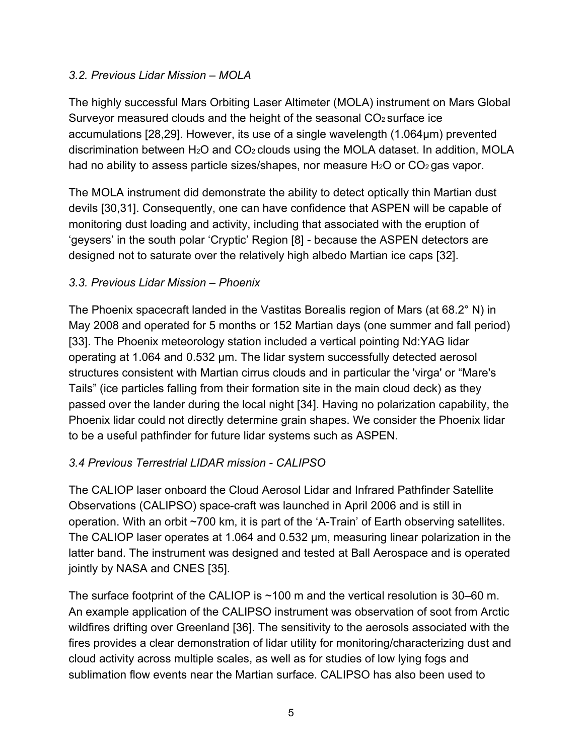## *3.2. Previous Lidar Mission – MOLA*

The highly successful Mars Orbiting Laser Altimeter (MOLA) instrument on Mars Global Surveyor measured clouds and the height of the seasonal  $CO<sub>2</sub>$  surface ice accumulations [28,29]. However, its use of a single wavelength (1.064μm) prevented discrimination between  $H_2O$  and  $CO<sub>2</sub>$  clouds using the MOLA dataset. In addition, MOLA had no ability to assess particle sizes/shapes, nor measure  $H_2O$  or  $CO_2$  gas vapor.

The MOLA instrument did demonstrate the ability to detect optically thin Martian dust devils [30,31]. Consequently, one can have confidence that ASPEN will be capable of monitoring dust loading and activity, including that associated with the eruption of 'geysers' in the south polar 'Cryptic' Region [8] - because the ASPEN detectors are designed not to saturate over the relatively high albedo Martian ice caps [32].

## *3.3. Previous Lidar Mission – Phoenix*

The Phoenix spacecraft landed in the Vastitas Borealis region of Mars (at 68.2° N) in May 2008 and operated for 5 months or 152 Martian days (one summer and fall period) [33]. The Phoenix meteorology station included a vertical pointing Nd:YAG lidar operating at 1.064 and 0.532 μm. The lidar system successfully detected aerosol structures consistent with Martian cirrus clouds and in particular the 'virga' or "Mare's Tails" (ice particles falling from their formation site in the main cloud deck) as they passed over the lander during the local night [34]. Having no polarization capability, the Phoenix lidar could not directly determine grain shapes. We consider the Phoenix lidar to be a useful pathfinder for future lidar systems such as ASPEN.

## *3.4 Previous Terrestrial LIDAR mission - CALIPSO*

The CALIOP laser onboard the Cloud Aerosol Lidar and Infrared Pathfinder Satellite Observations (CALIPSO) space-craft was launched in April 2006 and is still in operation. With an orbit ~700 km, it is part of the 'A-Train' of Earth observing satellites. The CALIOP laser operates at 1.064 and 0.532 μm, measuring linear polarization in the latter band. The instrument was designed and tested at Ball Aerospace and is operated jointly by NASA and CNES [35].

The surface footprint of the CALIOP is ~100 m and the vertical resolution is 30–60 m. An example application of the CALIPSO instrument was observation of soot from Arctic wildfires drifting over Greenland [36]. The sensitivity to the aerosols associated with the fires provides a clear demonstration of lidar utility for monitoring/characterizing dust and cloud activity across multiple scales, as well as for studies of low lying fogs and sublimation flow events near the Martian surface. CALIPSO has also been used to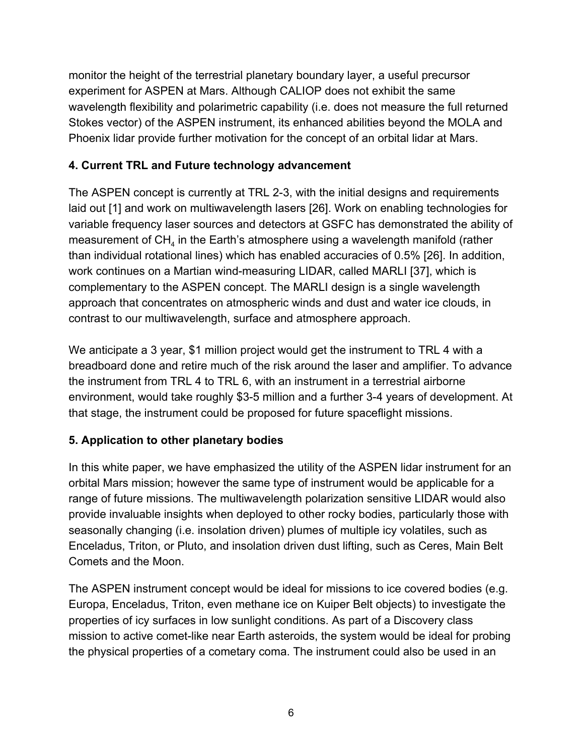monitor the height of the terrestrial planetary boundary layer, a useful precursor experiment for ASPEN at Mars. Although CALIOP does not exhibit the same wavelength flexibility and polarimetric capability (i.e. does not measure the full returned Stokes vector) of the ASPEN instrument, its enhanced abilities beyond the MOLA and Phoenix lidar provide further motivation for the concept of an orbital lidar at Mars.

## **4. Current TRL and Future technology advancement**

The ASPEN concept is currently at TRL 2-3, with the initial designs and requirements laid out [1] and work on multiwavelength lasers [26]. Work on enabling technologies for variable frequency laser sources and detectors at GSFC has demonstrated the ability of measurement of CH<sub>4</sub> in the Earth's atmosphere using a wavelength manifold (rather than individual rotational lines) which has enabled accuracies of 0.5% [26]. In addition, work continues on a Martian wind-measuring LIDAR, called MARLI [37], which is complementary to the ASPEN concept. The MARLI design is a single wavelength approach that concentrates on atmospheric winds and dust and water ice clouds, in contrast to our multiwavelength, surface and atmosphere approach.

We anticipate a 3 year, \$1 million project would get the instrument to TRL 4 with a breadboard done and retire much of the risk around the laser and amplifier. To advance the instrument from TRL 4 to TRL 6, with an instrument in a terrestrial airborne environment, would take roughly \$3-5 million and a further 3-4 years of development. At that stage, the instrument could be proposed for future spaceflight missions.

# **5. Application to other planetary bodies**

In this white paper, we have emphasized the utility of the ASPEN lidar instrument for an orbital Mars mission; however the same type of instrument would be applicable for a range of future missions. The multiwavelength polarization sensitive LIDAR would also provide invaluable insights when deployed to other rocky bodies, particularly those with seasonally changing (i.e. insolation driven) plumes of multiple icy volatiles, such as Enceladus, Triton, or Pluto, and insolation driven dust lifting, such as Ceres, Main Belt Comets and the Moon.

The ASPEN instrument concept would be ideal for missions to ice covered bodies (e.g. Europa, Enceladus, Triton, even methane ice on Kuiper Belt objects) to investigate the properties of icy surfaces in low sunlight conditions. As part of a Discovery class mission to active comet-like near Earth asteroids, the system would be ideal for probing the physical properties of a cometary coma. The instrument could also be used in an